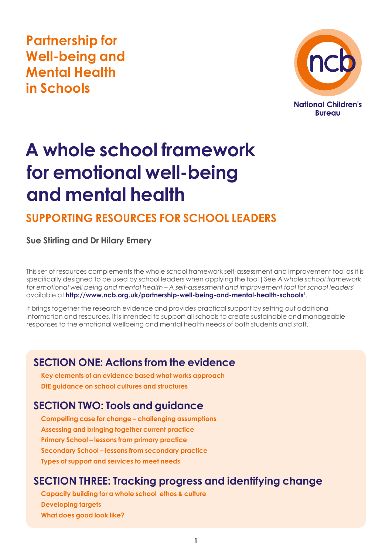**Partnership for Well-being and Mental Health in Schools**



# **A whole school framework for emotional well-being and mental health**

## **Supporting resources for school leaders**

### **Sue Stirling and Dr Hilary Emery**

This set of resources complements the whole school framework self-assessment and improvement tool as it is specifically designed to be used by school leaders when applying the tool ( See A whole school framework for emotional well being and mental health – A self-assessment and improvement tool for school leaders' available at **<http://www.ncb.org.uk/partnership-well-being-and-mental-health-schools>**<sup>1</sup> .

It brings together the research evidence and provides practical support by setting out additional information and resources. It is intended to support all schools to create sustainable and manageable responses to the emotional wellbeing and mental health needs of both students and staff.

### **SECTION ONE: Actions from the evidence**

**Key elements of an evidence based what works approach DfE guidance on school cultures and structures** 

### **SECTION TWO: Tools and guidance**

**Compelling case for change – challenging assumptions Assessing and bringing together current practice Primary School – lessons from primary practice Secondary School – lessons from secondary practice Types of support and services to meet needs**

### **SECTION THREE: Tracking progress and identifying change**

**Capacity building for a whole school ethos & culture Developing targets What does good look like?**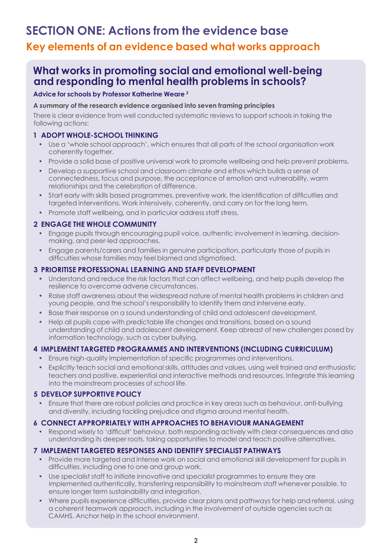# **Section one: Actions from the evidence base Key elements of an evidence based what works approach**

### **What works in promoting social and emotional well-being and responding to mental health problems in schools?**

### **Advice for schools by Professor Katherine Weare 2**

### **A summary of the research evidence organised into seven framing principles**

There is clear evidence from well conducted systematic reviews to support schools in taking the following actions:

### **1 ADOPT WHOLE-SCHOOL THINKING**

- Use a 'whole school approach', which ensures that all parts of the school organisation work coherently together.
- Provide a solid base of positive universal work to promote wellbeing and help prevent problems.
- Develop a supportive school and classroom climate and ethos which builds a sense of connectedness, focus and purpose, the acceptance of emotion and vulnerability, warm relationships and the celebration of difference.
- Start early with skills based programmes, preventive work, the identification of difficulties and targeted interventions. Work intensively, coherently, and carry on for the long term.
- Promote staff wellbeing, and in particular address staff stress.

### **2 ENGAGE THE WHOLE COMMUNITY**

- Engage pupils through encouraging pupil voice, authentic involvement in learning, decisionmaking, and peer-led approaches.
- Engage parents/carers and families in genuine participation, particularly those of pupils in difficulties whose families may feel blamed and stigmatised.

### **3 PRIORITISE PROFESSIONAL LEARNING AND STAFF DEVELOPMENT**

- Understand and reduce the risk factors that can affect wellbeing, and help pupils develop the resilience to overcome adverse circumstances.
- Raise staff awareness about the widespread nature of mental health problems in children and young people, and the school's responsibility to identify them and intervene early.
- Base their response on a sound understanding of child and adolescent development.
- Help all pupils cope with predictable life changes and transitions, based on a sound understanding of child and adolescent development. Keep abreast of new challenges posed by information technology, such as cyber bullying.

### **4 IMPLEMENT TARGETED PROGRAMMES AND INTERVENTIONS (INCLUDING CURRICULUM)**

- Ensure high-quality implementation of specific programmes and interventions.
- Explicitly teach social and emotional skills, attitudes and values, using well trained and enthusiastic teachers and positive, experiential and interactive methods and resources. Integrate this learning into the mainstream processes of school life.

### **5 DEVELOP SUPPORTIVE POLICY**

• Ensure that there are robust policies and practice in key areas such as behaviour, anti-bullying and diversity, including tackling prejudice and stigma around mental health.

### **6 CONNECT APPROPRIATELY WITH APPROACHES TO BEHAVIOUR MANAGEMENT**

• Respond wisely to 'difficult' behaviour, both responding actively with clear consequences and also understanding its deeper roots, taking opportunities to model and teach positive alternatives.

### **7 IMPLEMENT TARGETED RESPONSES AND IDENTIFY SPECIALIST PATHWAYS**

- Provide more targeted and intense work on social and emotional skill development for pupils in difficulties, including one to one and group work.
- Use specialist staff to initiate innovative and specialist programmes to ensure they are implemented authentically, transferring responsibility to mainstream staff whenever possible, to ensure longer term sustainability and integration.
- Where pupils experience difficulties, provide clear plans and pathways for help and referral, using a coherent teamwork approach, including in the involvement of outside agencies such as CAMHS. Anchor help in the school environment.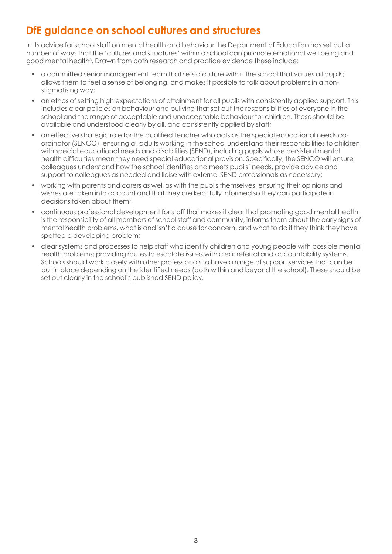### **DfE guidance on school cultures and structures**

In its advice for school staff on mental health and behaviour the Department of Education has set out a number of ways that the 'cultures and structures' within a school can promote emotional well being and good mental health<sup>3</sup>. Drawn from both research and practice evidence these include:

- a committed senior management team that sets a culture within the school that values all pupils; allows them to feel a sense of belonging; and makes it possible to talk about problems in a nonstigmatising way;
- an ethos of setting high expectations of attainment for all pupils with consistently applied support. This includes clear policies on behaviour and bullying that set out the responsibilities of everyone in the school and the range of acceptable and unacceptable behaviour for children. These should be available and understood clearly by all, and consistently applied by staff;
- an effective strategic role for the qualified teacher who acts as the special educational needs coordinator (SENCO), ensuring all adults working in the school understand their responsibilities to children with special educational needs and disabilities (SEND), including pupils whose persistent mental health difficulties mean they need special educational provision. Specifically, the SENCO will ensure colleagues understand how the school identifies and meets pupils' needs, provide advice and support to colleagues as needed and liaise with external SEND professionals as necessary;
- working with parents and carers as well as with the pupils themselves, ensuring their opinions and wishes are taken into account and that they are kept fully informed so they can participate in decisions taken about them;
- continuous professional development for staff that makes it clear that promoting good mental health is the responsibility of all members of school staff and community, informs them about the early signs of mental health problems, what is and isn't a cause for concern, and what to do if they think they have spotted a developing problem;
- clear systems and processes to help staff who identify children and young people with possible mental health problems; providing routes to escalate issues with clear referral and accountability systems. Schools should work closely with other professionals to have a range of support services that can be put in place depending on the identified needs (both within and beyond the school). These should be set out clearly in the school's published SEND policy.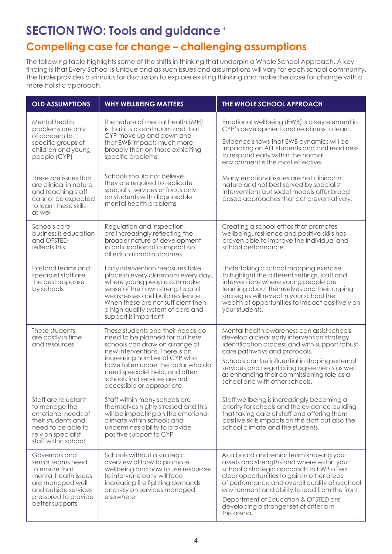# **Section two: Tools and guidance** <sup>4</sup> **Compelling case for change – challenging assumptions**

The following table highlights some of the shifts in thinking that underpin a Whole School Approach. A key finding is that Every School is Unique and as such issues and assumptions will vary for each school community. The table provides a stimulus for discussion to explore existing thinking and make the case for change with a more holistic approach.

| <b>OLD ASSUMPTIONS</b>                                                                                                                                              | <b>WHY WELLBEING MATTERS</b>                                                                                                                                                                                                                                                      | THE WHOLE SCHOOL APPROACH                                                                                                                                                                                                                                                                                                                                                                |  |
|---------------------------------------------------------------------------------------------------------------------------------------------------------------------|-----------------------------------------------------------------------------------------------------------------------------------------------------------------------------------------------------------------------------------------------------------------------------------|------------------------------------------------------------------------------------------------------------------------------------------------------------------------------------------------------------------------------------------------------------------------------------------------------------------------------------------------------------------------------------------|--|
| Mental health<br>problems are only<br>of concern to<br>specific groups of<br>children and young<br>people (CYP)                                                     | The nature of mental health (MH)<br>is that it is a continuum and that<br>CYP move up and down and<br>that EWB impacts much more<br>broadly than on those exhibiting<br>specific problems                                                                                         | Emotional wellbeing (EWB) is a key element in<br>CYP's development and readiness to learn.<br>Evidence shows that EWB dynamics will be<br>impacting on ALL students and that readiness<br>to respond early within the normal<br>environment is the most effective.                                                                                                                       |  |
| These are issues that<br>are clinical in nature<br>and teaching staff<br>cannot be expected<br>to learn these skills<br>as well                                     | Schools should not believe<br>they are required to replicate<br>specialist services or focus only<br>on students with diagnosable<br>mental health problems                                                                                                                       | Many emotional issues are not clinical in<br>nature and not best served by specialist<br>interventions but social models offer broad<br>based approaches that act preventatively.                                                                                                                                                                                                        |  |
| Schools core<br>business is education<br>and OFSTED<br>reflects this                                                                                                | Regulation and inspection<br>are increasingly reflecting the<br>broader nature of development<br>in anticipation of its impact on<br>all educational outcomes                                                                                                                     | Creating a school ethos that promotes<br>wellbeing, resilience and positive skills has<br>proven able to improve the individual and<br>school performance.                                                                                                                                                                                                                               |  |
| Pastoral teams and<br>specialist staff are<br>the best response<br>by schools                                                                                       | Early intervention measures take<br>place in every classroom every day,<br>where young people can make<br>sense of their own strengths and<br>weaknesses and build resilience.<br>When these are not sufficient then<br>a high quality system of care and<br>support is important | Undertaking a school mapping exercise<br>to highlight the different settings, staff and<br>interventions where young people are<br>learning about themselves and their coping<br>strategies will reveal in your school the<br>wealth of opportunities to impact positively on<br>your students.                                                                                          |  |
| These students<br>are costly in time<br>and resources                                                                                                               | These students and their needs do<br>need to be planned for but here<br>schools can draw on a range of<br>new interventions. There is an<br>increasing number of CYP who<br>have fallen under the radar who do<br>need specialist help, and often                                 | Mental health awareness can assist schools<br>develop a clear early intervention strategy,<br>identification process and with support robust<br>care pathways and protocols.<br>Schools can be influential in shaping external<br>services and negotiating agreements as well                                                                                                            |  |
|                                                                                                                                                                     | schools find services are not<br>accessible or appropriate.                                                                                                                                                                                                                       | as enhancing their commissioning role as a<br>school and with other schools.                                                                                                                                                                                                                                                                                                             |  |
| Staff are reluctant<br>to manage the<br>emotional needs of<br>their students and<br>need to be able to<br>rely on specialist<br>staff within school                 | Staff within many schools are<br>themselves highly stressed and this<br>will be impacting on the emotional<br>climate within schools and<br>undermines ability to provide<br>positive support to CYP                                                                              | Staff wellbeing is increasingly becoming a<br>priority for schools and the evidence building<br>that taking care of staff and offering them<br>positive skills impacts on the staff but also the<br>school climate and the students.                                                                                                                                                     |  |
| Governors and<br>senior teams need<br>to ensure that<br>mental health issues<br>are managed well<br>and outside services<br>pressured to provide<br>better supports | Schools without a strategic<br>overview of how to promote<br>wellbeing and how to use resources<br>to intervene early will face<br>increasing fire fighting demands<br>and rely on services managed<br>elsewhere                                                                  | As a board and senior team knowing your<br>assets and strengths and where within your<br>school a strategic approach to EWB offers<br>clear opportunities to gain in other areas<br>of performance and overall quality of a school<br>environment and ability to lead from the front.<br>Department of Education & OFSTED are<br>developing a stronger set of criteria in<br>this arena. |  |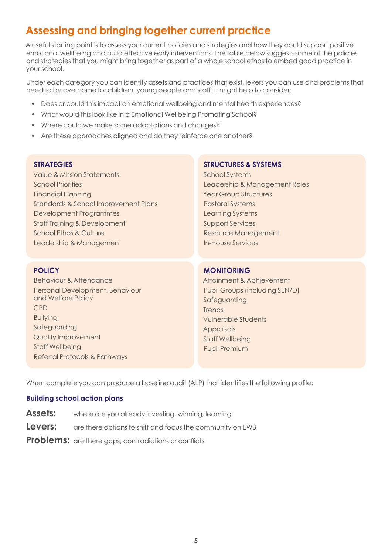### **Assessing and bringing together current practice**

A useful starting point is to assess your current policies and strategies and how they could support positive emotional wellbeing and build effective early interventions. The table below suggests some of the policies and strategies that you might bring together as part of a whole school ethos to embed good practice in your school.

Under each category you can identify assets and practices that exist, levers you can use and problems that need to be overcome for children, young people and staff. It might help to consider:

- Does or could this impact on emotional wellbeing and mental health experiences?
- What would this look like in a Emotional Wellbeing Promoting School?
- Where could we make some adaptations and changes?
- Are these approaches aligned and do they reinforce one another?

### **STRATEGIES**

Value & Mission Statements School Priorities Financial Planning Standards & School Improvement Plans Development Programmes Staff Training & Development School Ethos & Culture Leadership & Management

### **POLICY**

Behaviour & Attendance Personal Development, Behaviour and Welfare Policy CPD Bullying Safeguarding Quality Improvement Staff Wellbeing Referral Protocols & Pathways

### **STRUCTURES & SYSTEMS**

School Systems Leadership & Management Roles Year Group Structures Pastoral Systems Learning Systems Support Services Resource Management In-House Services

### **MONITORING**

Attainment & Achievement Pupil Groups (including SEN/D) **Safeguarding Trends** Vulnerable Students **Appraisals** Staff Wellbeing Pupil Premium

When complete you can produce a baseline audit (ALP) that identifies the following profile:

### **Building school action plans**

- **Assets:** where are you already investing, winning, learning
- **Levers:** are there options to shift and focus the community on EWB
- **Problems:** are there gaps, contradictions or conflicts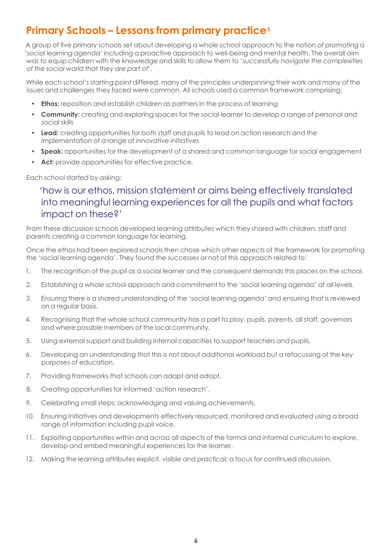### **Primary Schools – Lessons from primary practice**<sup>5</sup>

A group of five primary schools set about developing a whole school approach to the notion of promoting a 'social learning agenda' including a proactive approach to well-being and mental health. The overall aim was to equip children with the knowledge and skills to allow them to 'successfully navigate the complexities of the social world that they are part of'.

While each school's starting point differed, many of the principles underpinning their work and many of the issues and challenges they faced were common. All schools used a common framework comprising:

- **Ethos:** reposition and establish children as partners in the process of learning
- **Community:** creating and exploring spaces for the social learner to develop a range of personal and social skills
- **Lead:** creating opportunities for both staff and pupils to lead on action research and the implementation of a range of innovative initiatives
- **Speak:** opportunities for the development of a shared and common language for social engagement
- Act: provide opportunities for effective practice.

Each school started by asking:

### 'how is our ethos, mission statement or aims being effectively translated into meaningful learning experiences for all the pupils and what factors impact on these?'

From these discussion schools developed learning attributes which they shared with children, staff and parents creating a common language for learning.

Once the ethos had been explored schools then chose which other aspects of the framework for promoting the 'social learning agenda'. They found the successes or not of this approach related to:

- 1. The recognition of the pupil as a social learner and the consequent demands this places on the school.
- 2. Establishing a whole school approach and commitment to the 'social learning agenda' at all levels.
- 3. Ensuring there is a shared understanding of the 'social learning agenda' and ensuring that is reviewed on a regular basis.
- 4. Recognising that the whole school community has a part to play; pupils, parents, all staff, governors and where possible members of the local community.
- 5. Using external support and building internal capacities to support teachers and pupils.
- 6. Developing an understanding that this is not about additional workload but a refocussing of the key purposes of education.
- 7. Providing frameworks that schools can adapt and adopt.
- 8. Creating opportunities for informed 'action research'.
- 9. Celebrating small steps; acknowledging and valuing achievements.
- 10. Ensuring Initiatives and developments effectively resourced, monitored and evaluated using a broad range of information including pupil voice.
- 11. Exploiting opportunities within and across all aspects of the formal and informal curriculum to explore, develop and embed meaningful experiences for the learner.
- 12. Making the learning attributes explicit, visible and practical; a focus for continued discussion.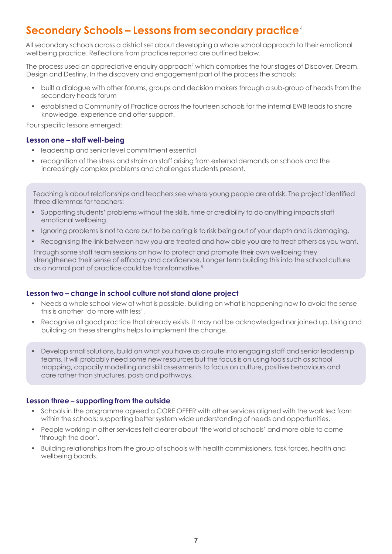### **Secondary Schools – Lessons from secondary practice** <sup>6</sup>

All secondary schools across a district set about developing a whole school approach to their emotional wellbeing practice. Reflections from practice reported are outlined below.

The process used an appreciative enquiry approach<sup>7</sup> which comprises the four stages of Discover, Dream, Design and Destiny. In the discovery and engagement part of the process the schools:

- built a dialogue with other forums, groups and decision makers through a sub-group of heads from the secondary heads forum
- established a Community of Practice across the fourteen schools for the internal EWB leads to share knowledge, experience and offer support.

Four specific lessons emerged:

#### **Lesson one – staff well-being**

- leadership and senior level commitment essential
- recognition of the stress and strain on staff arising from external demands on schools and the increasingly complex problems and challenges students present.

Teaching is about relationships and teachers see where young people are at risk. The project identified three dilemmas for teachers:

- Supporting students' problems without the skills, time or credibility to do anything impacts staff emotional wellbeing.
- Ignoring problems is not to care but to be caring is to risk being out of your depth and is damaging.
- Recognising the link between how you are treated and how able you are to treat others as you want.

Through some staff team sessions on how to protect and promote their own wellbeing they strengthened their sense of efficacy and confidence. Longer term building this into the school culture as a normal part of practice could be transformative.<sup>8</sup>

### **Lesson two – change in school culture not stand alone project**

- Needs a whole school view of what is possible, building on what is happening now to avoid the sense this is another 'do more with less'.
- Recognise all good practice that already exists. It may not be acknowledged nor joined up. Using and building on these strengths helps to implement the change.
- Develop small solutions, build on what you have as a route into engaging staff and senior leadership teams. It will probably need some new resources but the focus is on using tools such as school mapping, capacity modelling and skill assessments to focus on culture, positive behaviours and care rather than structures, posts and pathways.

### **Lesson three – supporting from the outside**

- Schools in the programme agreed a CORE OFFER with other services aligned with the work led from within the schools; supporting better system wide understanding of needs and opportunities.
- People working in other services felt clearer about 'the world of schools' and more able to come 'through the door'.
- Building relationships from the group of schools with health commissioners, task forces, health and wellbeing boards.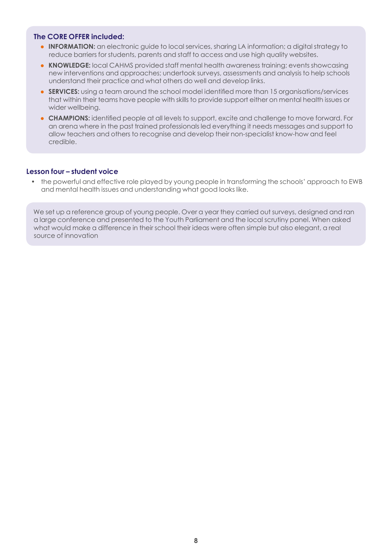### **The CORE OFFER included:**

- **INFORMATION:** an electronic guide to local services, sharing LA information; a digital strategy to reduce barriers for students, parents and staff to access and use high quality websites.
- **KNOWLEDGE:** local CAHMS provided staff mental health awareness training; events showcasing new interventions and approaches; undertook surveys, assessments and analysis to help schools understand their practice and what others do well and develop links.
- **SERVICES:** using a team around the school model identified more than 15 organisations/services that within their teams have people with skills to provide support either on mental health issues or wider wellbeing.
- **CHAMPIONS:** identified people at all levels to support, excite and challenge to move forward. For an arena where in the past trained professionals led everything it needs messages and support to allow teachers and others to recognise and develop their non-specialist know-how and feel credible.

### **Lesson four – student voice**

• the powerful and effective role played by young people in transforming the schools' approach to EWB and mental health issues and understanding what good looks like.

We set up a reference group of young people. Over a year they carried out surveys, designed and ran a large conference and presented to the Youth Parliament and the local scrutiny panel. When asked what would make a difference in their school their ideas were often simple but also elegant, a real source of innovation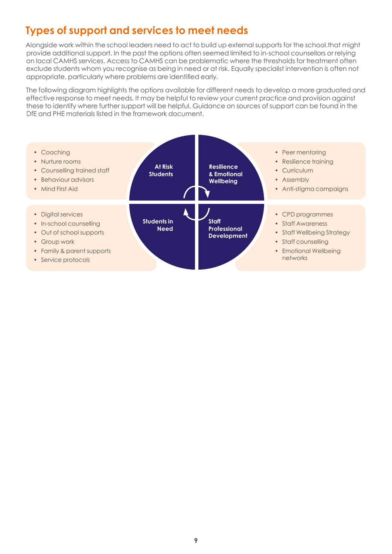### **Types of support and services to meet needs**

Alongside work within the school leaders need to act to build up external supports for the school.that might provide additional support. In the past the options often seemed limited to in-school counsellors or relying on local CAMHS services. Access to CAMHS can be problematic where the thresholds for treatment often exclude students whom you recognise as being in need or at risk. Equally specialist intervention is often not appropriate, particularly where problems are identified early.

The following diagram highlights the options available for different needs to develop a more graduated and effective response to meet needs. It may be helpful to review your current practice and provision against these to identify where further support will be helpful. Guidance on sources of support can be found in the DfE and PHE materials listed in the framework document.

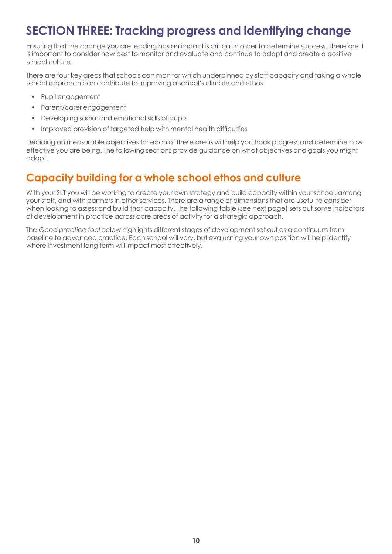# **Section three: Tracking progress and identifying change**

Ensuring that the change you are leading has an impact is critical in order to determine success. Therefore it is important to consider how best to monitor and evaluate and continue to adapt and create a positive school culture.

There are four key areas that schools can monitor which underpinned by staff capacity and taking a whole school approach can contribute to improving a school's climate and ethos:

- Pupil engagement
- Parent/carer engagement
- Developing social and emotional skills of pupils
- Improved provision of targeted help with mental health difficulties

Deciding on measurable objectives for each of these areas will help you track progress and determine how effective you are being. The following sections provide guidance on what objectives and goals you might adopt.

### **Capacity building for a whole school ethos and culture**

With your SLT you will be working to create your own strategy and build capacity within your school, among your staff, and with partners in other services. There are a range of dimensions that are useful to consider when looking to assess and build that capacity. The following table (see next page) sets out some indicators of development in practice across core areas of activity for a strategic approach.

The Good practice tool below highlights different stages of development set out as a continuum from baseline to advanced practice. Each school will vary, but evaluating your own position will help identify where investment long term will impact most effectively.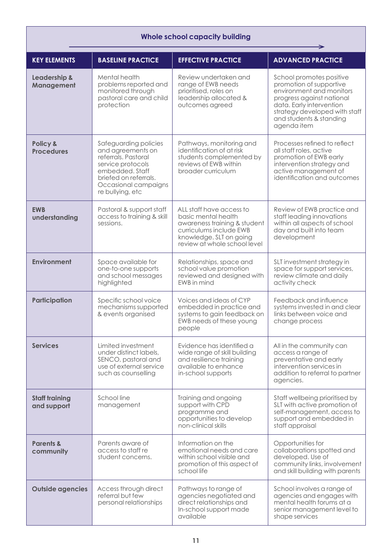| <b>Whole school capacity building</b> |                                                                                                                                                                                |                                                                                                                                                                       |                                                                                                                                                                                                                     |  |
|---------------------------------------|--------------------------------------------------------------------------------------------------------------------------------------------------------------------------------|-----------------------------------------------------------------------------------------------------------------------------------------------------------------------|---------------------------------------------------------------------------------------------------------------------------------------------------------------------------------------------------------------------|--|
| <b>KEY ELEMENTS</b>                   | <b>BASELINE PRACTICE</b>                                                                                                                                                       | <b>EFFECTIVE PRACTICE</b>                                                                                                                                             | <b>ADVANCED PRACTICE</b>                                                                                                                                                                                            |  |
| Leadership &<br>Management            | Mental health<br>problems reported and<br>monitored through<br>pastoral care and child<br>protection                                                                           | Review undertaken and<br>range of EWB needs<br>prioritised, roles on<br>leadership allocated &<br>outcomes agreed                                                     | School promotes positive<br>promotion of supportive<br>environment and monitors<br>progress against national<br>data. Early intervention<br>strategy developed with staff<br>and students & standing<br>agenda item |  |
| Policy &<br><b>Procedures</b>         | Safeguarding policies<br>and agreements on<br>referrals. Pastoral<br>service protocols<br>embedded. Staff<br>briefed on referrals.<br>Occasional campaigns<br>re bullying, etc | Pathways, monitoring and<br>identification of at risk<br>students complemented by<br>reviews of EWB within<br>broader curriculum                                      | Processes refined to reflect<br>all staff roles, active<br>promotion of EWB early<br>intervention strategy and<br>active management of<br>identification and outcomes                                               |  |
| <b>EWB</b><br>understanding           | Pastoral & support staff<br>access to training & skill<br>sessions.                                                                                                            | ALL staff have access to<br>basic mental health<br>awareness training & student<br>curriculums include EWB<br>knowledge. SLT on going<br>review at whole school level | Review of EWB practice and<br>staff leading innovations<br>within all aspects of school<br>day and built into team<br>development                                                                                   |  |
| <b>Environment</b>                    | Space available for<br>one-to-one supports<br>and school messages<br>highlighted                                                                                               | Relationships, space and<br>school value promotion<br>reviewed and designed with<br>EWB in mind                                                                       | SLT investment strategy in<br>space for support services,<br>review climate and daily<br>activity check                                                                                                             |  |
| <b>Participation</b>                  | Specific school voice<br>mechanisms supported<br>& events organised                                                                                                            | Voices and ideas of CYP<br>embedded in practice and<br>systems to gain feedback on<br>EWB needs of these young<br>people                                              | Feedback and influence<br>systems invested in and clear<br>links between voice and<br>change process                                                                                                                |  |
| <b>Services</b>                       | Limited investment<br>under distinct labels,<br>SENCO, pastoral and<br>use of external service<br>such as counselling                                                          | Evidence has identified a<br>wide range of skill building<br>and resilience training<br>available to enhance<br>in-school supports                                    | All in the community can<br>access a range of<br>preventative and early<br>intervention services in<br>addition to referral to partner<br>agencies.                                                                 |  |
| <b>Staff training</b><br>and support  | School line<br>management                                                                                                                                                      | Training and ongoing<br>support with CPD<br>programme and<br>opportunities to develop<br>non-clinical skills                                                          | Staff wellbeing prioritised by<br>SLT with active promotion of<br>self-management, access to<br>support and embedded in<br>staff appraisal                                                                          |  |
| <b>Parents &amp;</b><br>community     | Parents aware of<br>access to staff re<br>student concerns.                                                                                                                    | Information on the<br>emotional needs and care<br>within school visible and<br>promotion of this aspect of<br>school life                                             | Opportunities for<br>collaborations spotted and<br>developed. Use of<br>community links, involvement<br>and skill building with parents                                                                             |  |
| <b>Outside agencies</b>               | Access through direct<br>referral but few<br>personal relationships                                                                                                            | Pathways to range of<br>agencies negotiated and<br>direct relationships and<br>In-school support made<br>available                                                    | School involves a range of<br>agencies and engages with<br>mental health forums at a<br>senior management level to<br>shape services                                                                                |  |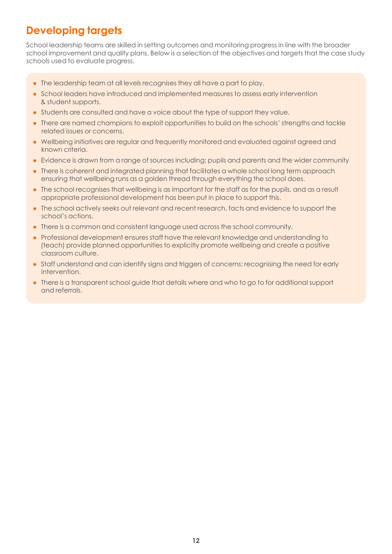### **Developing targets**

School leadership teams are skilled in setting outcomes and monitoring progress in line with the broader school improvement and quality plans. Below is a selection of the objectives and targets that the case study schools used to evaluate progress.

- The leadership team at all levels recognises they all have a part to play.
- School leaders have introduced and implemented measures to assess early intervention & student supports.
- Students are consulted and have a voice about the type of support they value.
- There are named champions to exploit opportunities to build on the schools' strengths and tackle related issues or concerns.
- Wellbeing initiatives are regular and frequently monitored and evaluated against agreed and known criteria.
- Evidence is drawn from a range of sources including; pupils and parents and the wider community
- There is coherent and integrated planning that facilitates a whole school long term approach ensuring that wellbeing runs as a golden thread through everything the school does.
- The school recognises that wellbeing is as important for the staff as for the pupils, and as a result appropriate professional development has been put in place to support this.
- The school actively seeks out relevant and recent research, facts and evidence to support the school's actions.
- There is a common and consistent language used across the school community.
- Professional development ensures staff have the relevant knowledge and understanding to (teach) provide planned opportunities to explicitly promote wellbeing and create a positive classroom culture.
- Staff understand and can identify signs and triggers of concerns; recognising the need for early intervention.
- There is a transparent school guide that details where and who to go to for additional support and referrals.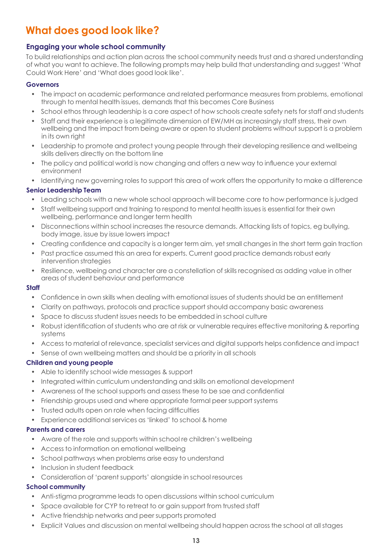### **What does good look like?**

### **Engaging your whole school community**

To build relationships and action plan across the school community needs trust and a shared understanding of what you want to achieve. The following prompts may help build that understanding and suggest 'What Could Work Here' and 'What does good look like'.

#### **Governors**

- The impact on academic performance and related performance measures from problems, emotional through to mental health issues, demands that this becomes Core Business
- School ethos through leadership is a core aspect of how schools create safety nets for staff and students
- Staff and their experience is a legitimate dimension of EW/MH as increasingly staff stress, their own wellbeing and the impact from being aware or open to student problems without support is a problem in its own right
- Leadership to promote and protect young people through their developing resilience and wellbeing skills delivers directly on the bottom line
- The policy and political world is now changing and offers a new way to influence your external environment
- Identifying new governing roles to support this area of work offers the opportunity to make a difference

### **Senior Leadership Team**

- Leading schools with a new whole school approach will become core to how performance is judged
- Staff wellbeing support and training to respond to mental health issues is essential for their own wellbeing, performance and longer term health
- Disconnections within school increases the resource demands. Attacking lists of topics, eg bullying, body image, issue by issue lowers impact
- Creating confidence and capacity is a longer term aim, yet small changes in the short term gain traction
- Past practice assumed this an area for experts. Current good practice demands robust early intervention strategies
- Resilience, wellbeing and character are a constellation of skills recognised as adding value in other areas of student behaviour and performance

### **Staff**

- Confidence in own skills when dealing with emotional issues of students should be an entitlement
- Clarity on pathways, protocols and practice support should accompany basic awareness
- Space to discuss student issues needs to be embedded in school culture
- Robust identification of students who are at risk or vulnerable requires effective monitoring & reporting systems
- Access to material of relevance, specialist services and digital supports helps confidence and impact
- Sense of own wellbeing matters and should be a priority in all schools

### **Children and young people**

- Able to identify school wide messages & support
- Integrated within curriculum understanding and skills on emotional development
- Awareness of the school supports and assess these to be sae and confidential
- Friendship groups used and where appropriate formal peer support systems
- Trusted adults open on role when facing difficulties
- Experience additional services as 'linked' to school & home

### **Parents and carers**

- Aware of the role and supports within school re children's wellbeing
- Access to information on emotional wellbeing
- School pathways when problems arise easy to understand
- Inclusion in student feedback
- Consideration of 'parent supports' alongside in school resources

### **School community**

- Anti-stigma programme leads to open discussions within school curriculum
- Space available for CYP to retreat to or gain support from trusted staff
- Active friendship networks and peer supports promoted
- Explicit Values and discussion on mental wellbeing should happen across the school at all stages